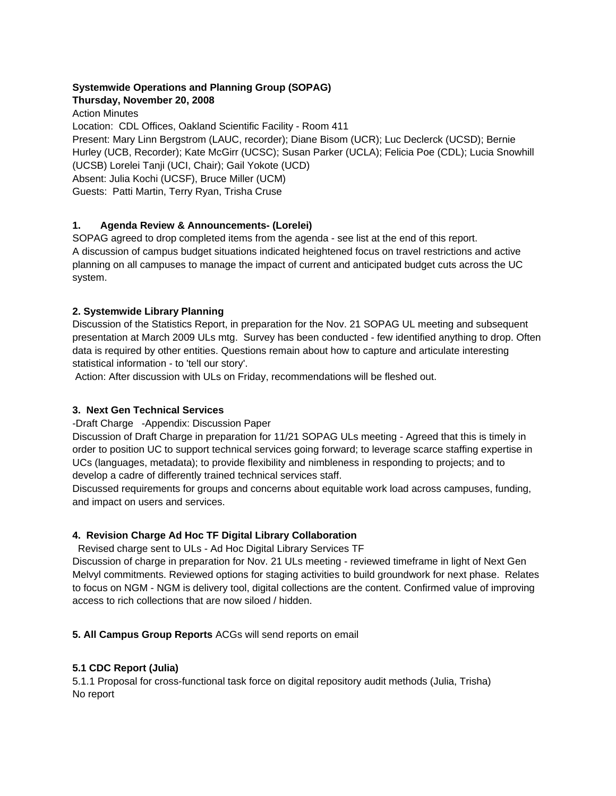# **Systemwide Operations and Planning Group (SOPAG)**

## **Thursday, November 20, 2008**

Action Minutes

Location: CDL Offices, Oakland Scientific Facility - Room 411

Present: Mary Linn Bergstrom (LAUC, recorder); Diane Bisom (UCR); Luc Declerck (UCSD); Bernie Hurley (UCB, Recorder); Kate McGirr (UCSC); Susan Parker (UCLA); Felicia Poe (CDL); Lucia Snowhill (UCSB) Lorelei Tanji (UCI, Chair); Gail Yokote (UCD) Absent: Julia Kochi (UCSF), Bruce Miller (UCM) Guests: Patti Martin, Terry Ryan, Trisha Cruse

#### **1. Agenda Review & Announcements- (Lorelei)**

SOPAG agreed to drop completed items from the agenda - see list at the end of this report. A discussion of campus budget situations indicated heightened focus on travel restrictions and active planning on all campuses to manage the impact of current and anticipated budget cuts across the UC system.

#### **2. Systemwide Library Planning**

Discussion of the Statistics Report, in preparation for the Nov. 21 SOPAG UL meeting and subsequent presentation at March 2009 ULs mtg. Survey has been conducted - few identified anything to drop. Often data is required by other entities. Questions remain about how to capture and articulate interesting statistical information - to 'tell our story'.

Action: After discussion with ULs on Friday, recommendations will be fleshed out.

#### **3. Next Gen Technical Services**

-Draft Charge -Appendix: Discussion Paper

Discussion of Draft Charge in preparation for 11/21 SOPAG ULs meeting - Agreed that this is timely in order to position UC to support technical services going forward; to leverage scarce staffing expertise in UCs (languages, metadata); to provide flexibility and nimbleness in responding to projects; and to develop a cadre of differently trained technical services staff.

Discussed requirements for groups and concerns about equitable work load across campuses, funding, and impact on users and services.

#### **4. Revision Charge Ad Hoc TF Digital Library Collaboration**

Revised charge sent to ULs - Ad Hoc Digital Library Services TF

Discussion of charge in preparation for Nov. 21 ULs meeting - reviewed timeframe in light of Next Gen Melvyl commitments. Reviewed options for staging activities to build groundwork for next phase. Relates to focus on NGM - NGM is delivery tool, digital collections are the content. Confirmed value of improving access to rich collections that are now siloed / hidden.

#### **5. All Campus Group Reports** ACGs will send reports on email

#### **5.1 CDC Report (Julia)**

5.1.1 Proposal for cross-functional task force on digital repository audit methods (Julia, Trisha) No report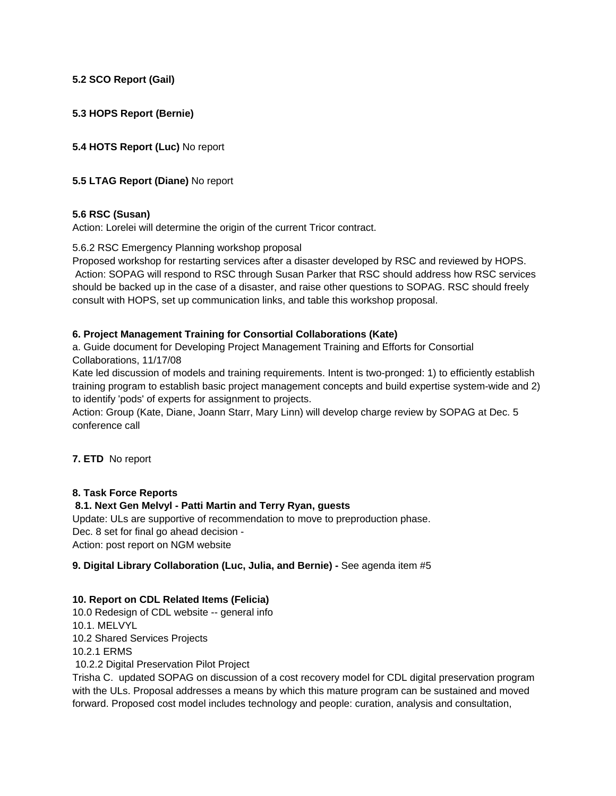**5.2 SCO Report (Gail)**

#### **5.3 HOPS Report (Bernie)**

**5.4 HOTS Report (Luc)** No report

#### **5.5 LTAG Report (Diane)** No report

#### **5.6 RSC (Susan)**

Action: Lorelei will determine the origin of the current Tricor contract.

#### 5.6.2 RSC Emergency Planning workshop proposal

Proposed workshop for restarting services after a disaster developed by RSC and reviewed by HOPS. Action: SOPAG will respond to RSC through Susan Parker that RSC should address how RSC services should be backed up in the case of a disaster, and raise other questions to SOPAG. RSC should freely consult with HOPS, set up communication links, and table this workshop proposal.

#### **6. Project Management Training for Consortial Collaborations (Kate)**

a. Guide document for Developing Project Management Training and Efforts for Consortial Collaborations, 11/17/08

Kate led discussion of models and training requirements. Intent is two-pronged: 1) to efficiently establish training program to establish basic project management concepts and build expertise system-wide and 2) to identify 'pods' of experts for assignment to projects.

Action: Group (Kate, Diane, Joann Starr, Mary Linn) will develop charge review by SOPAG at Dec. 5 conference call

**7. ETD** No report

#### **8. Task Force Reports**

#### **8.1. Next Gen Melvyl - Patti Martin and Terry Ryan, guests**

Update: ULs are supportive of recommendation to move to preproduction phase. Dec. 8 set for final go ahead decision - Action: post report on NGM website

#### **9. Digital Library Collaboration (Luc, Julia, and Bernie) -** See agenda item #5

#### **10. Report on CDL Related Items (Felicia)**

10.0 Redesign of CDL website -- general info 10.1. MELVYL 10.2 Shared Services Projects

10.2.1 ERMS

10.2.2 Digital Preservation Pilot Project

Trisha C. updated SOPAG on discussion of a cost recovery model for CDL digital preservation program with the ULs. Proposal addresses a means by which this mature program can be sustained and moved forward. Proposed cost model includes technology and people: curation, analysis and consultation,